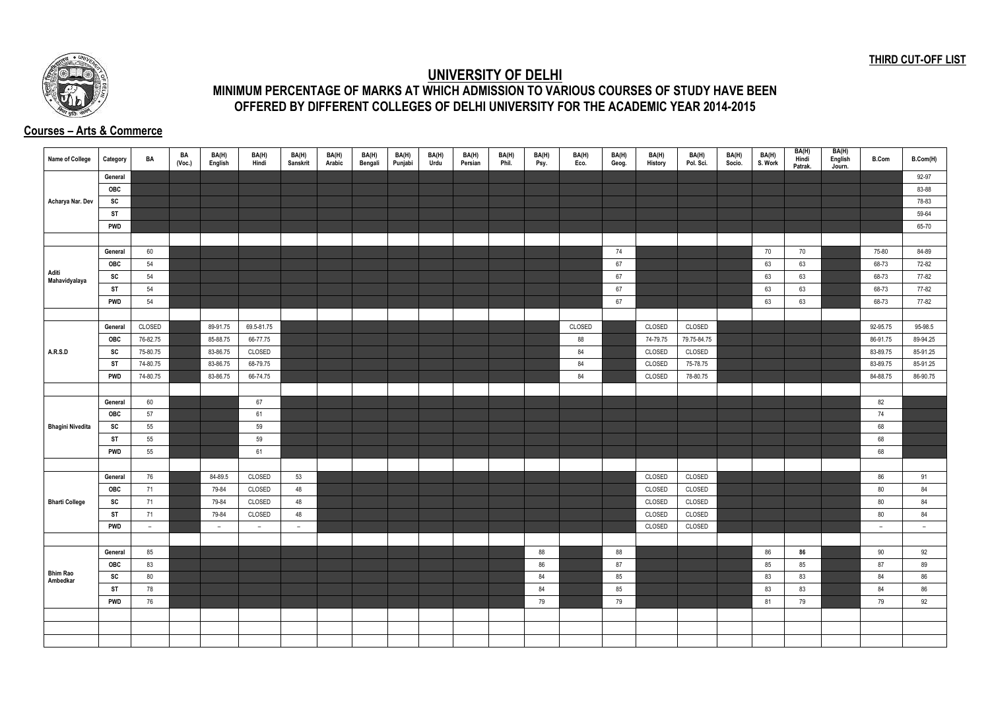## **THIRD CUT-OFF LIST**



## **UNIVERSITY OF DELHI MINIMUM PERCENTAGE OF MARKS AT WHICH ADMISSION TO VARIOUS COURSES OF STUDY HAVE BEEN OFFERED BY DIFFERENT COLLEGES OF DELHI UNIVERSITY FOR THE ACADEMIC YEAR 2014-2015**

## **Courses – Arts & Commerce**

| <b>Name of College</b>      | Category   | BA       | BA<br>(Voc.) | BA(H)<br>English | BA(H)<br>Hindi           | BA(H)<br>Sanskrit | BA(H)<br>Arabic | BA(H)<br>Bengali | BA(H)<br>Punjabi | BA(H)<br>Urdu | BA(H)<br>Persian | BA(H)<br>Phil. | BA(H)<br>Psy. | BA(H)<br>Eco. | BA(H)<br>Geog. | BA(H)<br>History | BA(H)<br>Pol. Sci. | BA(H)<br>Socio. | BA(H)<br>S. Work | BA(H)<br>Hindi<br>Patrak. | BA(H)<br>English<br>Journ. | <b>B.Com</b> | B.Com(H) |
|-----------------------------|------------|----------|--------------|------------------|--------------------------|-------------------|-----------------|------------------|------------------|---------------|------------------|----------------|---------------|---------------|----------------|------------------|--------------------|-----------------|------------------|---------------------------|----------------------------|--------------|----------|
|                             | General    |          |              |                  |                          |                   |                 |                  |                  |               |                  |                |               |               |                |                  |                    |                 |                  |                           |                            |              | 92-97    |
|                             | <b>OBC</b> |          |              |                  |                          |                   |                 |                  |                  |               |                  |                |               |               |                |                  |                    |                 |                  |                           |                            |              | 83-88    |
| Acharya Nar. Dev            | SC         |          |              |                  |                          |                   |                 |                  |                  |               |                  |                |               |               |                |                  |                    |                 |                  |                           |                            |              | 78-83    |
|                             | <b>ST</b>  |          |              |                  |                          |                   |                 |                  |                  |               |                  |                |               |               |                |                  |                    |                 |                  |                           |                            |              | 59-64    |
|                             | <b>PWD</b> |          |              |                  |                          |                   |                 |                  |                  |               |                  |                |               |               |                |                  |                    |                 |                  |                           |                            |              | 65-70    |
|                             |            |          |              |                  |                          |                   |                 |                  |                  |               |                  |                |               |               |                |                  |                    |                 |                  |                           |                            |              |          |
|                             | General    | 60       |              |                  |                          |                   |                 |                  |                  |               |                  |                |               |               | 74             |                  |                    |                 | 70               | 70                        |                            | 75-80        | 84-89    |
|                             | OBC        | 54       |              |                  |                          |                   |                 |                  |                  |               |                  |                |               |               | 67             |                  |                    |                 | 63               | 63                        |                            | 68-73        | 72-82    |
| Aditi<br>Mahavidyalaya      | SC         | 54       |              |                  |                          |                   |                 |                  |                  |               |                  |                |               |               | 67             |                  |                    |                 | 63               | 63                        |                            | 68-73        | 77-82    |
|                             | <b>ST</b>  | 54       |              |                  |                          |                   |                 |                  |                  |               |                  |                |               |               | 67             |                  |                    |                 | 63               | 63                        |                            | 68-73        | 77-82    |
|                             | <b>PWD</b> | 54       |              |                  |                          |                   |                 |                  |                  |               |                  |                |               |               | 67             |                  |                    |                 | 63               | 63                        |                            | 68-73        | 77-82    |
|                             |            |          |              |                  |                          |                   |                 |                  |                  |               |                  |                |               |               |                |                  |                    |                 |                  |                           |                            |              |          |
|                             | General    | CLOSED   |              | 89-91.75         | 69.5-81.75               |                   |                 |                  |                  |               |                  |                |               | CLOSED        |                | CLOSED           | CLOSED             |                 |                  |                           |                            | 92-95.75     | 95-98.5  |
|                             | <b>OBC</b> | 76-82.75 |              | 85-88.75         | 66-77.75                 |                   |                 |                  |                  |               |                  |                |               | 88            |                | 74-79.75         | 79.75-84.75        |                 |                  |                           |                            | 86-91.75     | 89-94.25 |
| A.R.S.D                     | SC         | 75-80.75 |              | 83-86.75         | CLOSED                   |                   |                 |                  |                  |               |                  |                |               | 84            |                | CLOSED           | CLOSED             |                 |                  |                           |                            | 83-89.75     | 85-91.25 |
|                             | <b>ST</b>  | 74-80.75 |              | 83-86.75         | 68-79.75                 |                   |                 |                  |                  |               |                  |                |               | 84            |                | CLOSED           | 75-78.75           |                 |                  |                           |                            | 83-89.75     | 85-91.25 |
|                             | <b>PWD</b> | 74-80.75 |              | 83-86.75         | 66-74.75                 |                   |                 |                  |                  |               |                  |                |               | 84            |                | CLOSED           | 78-80.75           |                 |                  |                           |                            | 84-88.75     | 86-90.75 |
|                             |            |          |              |                  |                          |                   |                 |                  |                  |               |                  |                |               |               |                |                  |                    |                 |                  |                           |                            |              |          |
|                             | General    | 60       |              |                  | 67                       |                   |                 |                  |                  |               |                  |                |               |               |                |                  |                    |                 |                  |                           |                            | 82           |          |
|                             | OBC        | 57       |              |                  | 61                       |                   |                 |                  |                  |               |                  |                |               |               |                |                  |                    |                 |                  |                           |                            | 74           |          |
| <b>Bhagini Nivedita</b>     | SC         | 55       |              |                  | 59                       |                   |                 |                  |                  |               |                  |                |               |               |                |                  |                    |                 |                  |                           |                            | 68           |          |
|                             | ST         | 55       |              |                  | 59                       |                   |                 |                  |                  |               |                  |                |               |               |                |                  |                    |                 |                  |                           |                            | 68           |          |
|                             | <b>PWD</b> | 55       |              |                  | 61                       |                   |                 |                  |                  |               |                  |                |               |               |                |                  |                    |                 |                  |                           |                            | 68           |          |
|                             |            |          |              |                  |                          |                   |                 |                  |                  |               |                  |                |               |               |                |                  |                    |                 |                  |                           |                            |              |          |
|                             | General    | 76       |              | 84-89.5          | CLOSED                   | 53                |                 |                  |                  |               |                  |                |               |               |                | CLOSED           | CLOSED             |                 |                  |                           |                            | 86           | 91       |
|                             | OBC        | 71       |              | 79-84            | CLOSED                   | 48                |                 |                  |                  |               |                  |                |               |               |                | CLOSED           | CLOSED             |                 |                  |                           |                            | 80           | 84       |
| <b>Bharti College</b>       | SC         | 71       |              | 79-84            | CLOSED                   | 48                |                 |                  |                  |               |                  |                |               |               |                | CLOSED           | CLOSED             |                 |                  |                           |                            | 80           | 84       |
|                             | <b>ST</b>  | 71       |              | 79-84            | CLOSED                   | 48                |                 |                  |                  |               |                  |                |               |               |                | CLOSED           | CLOSED             |                 |                  |                           |                            | 80           | 84       |
|                             | <b>PWD</b> | $-$      |              | $ \,$            | $\overline{\phantom{0}}$ | $ \,$             |                 |                  |                  |               |                  |                |               |               |                | CLOSED           | CLOSED             |                 |                  |                           |                            | $ \,$        | $ \,$    |
|                             |            |          |              |                  |                          |                   |                 |                  |                  |               |                  |                |               |               |                |                  |                    |                 |                  |                           |                            |              |          |
|                             | General    | 85       |              |                  |                          |                   |                 |                  |                  |               |                  |                | 88            |               | 88             |                  |                    |                 | 86               | 86                        |                            | 90           | 92       |
|                             | OBC        | 83       |              |                  |                          |                   |                 |                  |                  |               |                  |                | 86            |               | 87             |                  |                    |                 | 85               | 85                        |                            | 87           | 89       |
| <b>Bhim Rao</b><br>Ambedkar | SC         | 80       |              |                  |                          |                   |                 |                  |                  |               |                  |                | 84            |               | 85             |                  |                    |                 | 83               | 83                        |                            | 84           | 86       |
|                             | <b>ST</b>  | 78       |              |                  |                          |                   |                 |                  |                  |               |                  |                | 84            |               | 85             |                  |                    |                 | 83               | 83                        |                            | 84           | 86       |
|                             | <b>PWD</b> | 76       |              |                  |                          |                   |                 |                  |                  |               |                  |                | 79            |               | 79             |                  |                    |                 | 81               | 79                        |                            | 79           | 92       |
|                             |            |          |              |                  |                          |                   |                 |                  |                  |               |                  |                |               |               |                |                  |                    |                 |                  |                           |                            |              |          |
|                             |            |          |              |                  |                          |                   |                 |                  |                  |               |                  |                |               |               |                |                  |                    |                 |                  |                           |                            |              |          |
|                             |            |          |              |                  |                          |                   |                 |                  |                  |               |                  |                |               |               |                |                  |                    |                 |                  |                           |                            |              |          |
|                             |            |          |              |                  |                          |                   |                 |                  |                  |               |                  |                |               |               |                |                  |                    |                 |                  |                           |                            |              |          |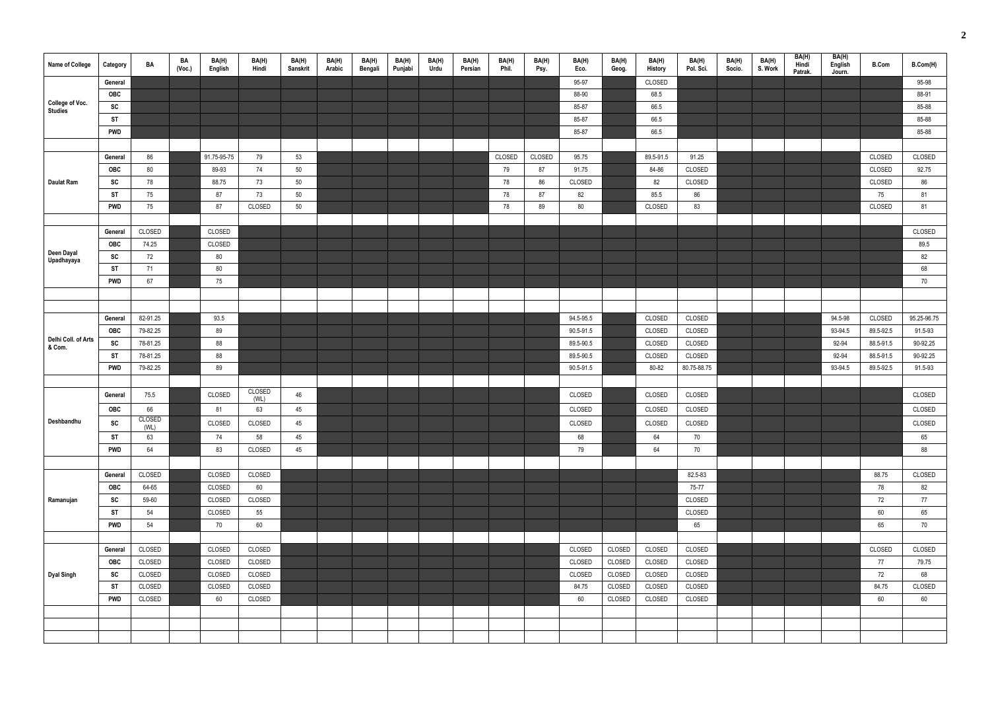| Name of College               | Category   | BA         | BA<br>(Voc.) | BA(H)<br>English | BA(H)<br>Hindi        | BA(H)<br>Sanskrit | BA(H)<br>Arabic | BA(H)<br>Bengali | BA(H)<br>Punjabi | BA(H)<br>Urdu | BA(H)<br>Persian | BA(H)<br>Phil. | BA(H)<br>Psy. | BA(H)<br>Eco. | BA(H)<br>Geog. | BA(H)<br>History | BA(H)<br>Pol. Sci. | BA(H)<br>Socio. | BA(H)<br>S. Work | BA(H)<br>Hindi<br>Patrak. | BA(H)<br>English<br>Journ. | <b>B.Com</b> | B.Com(H)    |
|-------------------------------|------------|------------|--------------|------------------|-----------------------|-------------------|-----------------|------------------|------------------|---------------|------------------|----------------|---------------|---------------|----------------|------------------|--------------------|-----------------|------------------|---------------------------|----------------------------|--------------|-------------|
|                               | General    |            |              |                  |                       |                   |                 |                  |                  |               |                  |                |               | 95-97         |                | CLOSED           |                    |                 |                  |                           |                            |              | 95-98       |
|                               | OBC        |            |              |                  |                       |                   |                 |                  |                  |               |                  |                |               | 88-90         |                | 68.5             |                    |                 |                  |                           |                            |              | 88-91       |
| College of Voc.<br>Studies    | SC         |            |              |                  |                       |                   |                 |                  |                  |               |                  |                |               | 85-87         |                | 66.5             |                    |                 |                  |                           |                            |              | 85-88       |
|                               | <b>ST</b>  |            |              |                  |                       |                   |                 |                  |                  |               |                  |                |               | 85-87         |                | 66.5             |                    |                 |                  |                           |                            |              | 85-88       |
|                               | <b>PWD</b> |            |              |                  |                       |                   |                 |                  |                  |               |                  |                |               | 85-87         |                | 66.5             |                    |                 |                  |                           |                            |              | 85-88       |
|                               |            |            |              |                  |                       |                   |                 |                  |                  |               |                  |                |               |               |                |                  |                    |                 |                  |                           |                            |              |             |
|                               | General    | 86         |              | 91.75-95-75      | 79                    | 53                |                 |                  |                  |               |                  | CLOSED         | CLOSED        | 95.75         |                | 89.5-91.5        | 91.25              |                 |                  |                           |                            | CLOSED       | CLOSED      |
|                               | <b>OBC</b> | 80         |              | 89-93            | 74                    | 50                |                 |                  |                  |               |                  | 79             | 87            | 91.75         |                | 84-86            | CLOSED             |                 |                  |                           |                            | CLOSED       | 92.75       |
| <b>Daulat Ram</b>             | <b>SC</b>  | 78         |              | 88.75            | 73                    | 50                |                 |                  |                  |               |                  | 78             | 86            | CLOSED        |                | 82               | CLOSED             |                 |                  |                           |                            | CLOSED       | 86          |
|                               | <b>ST</b>  | 75         |              | 87               | 73                    | 50                |                 |                  |                  |               |                  | 78             | 87            | 82            |                | 85.5             | 86                 |                 |                  |                           |                            | 75           | 81          |
|                               | <b>PWD</b> | 75         |              | 87               | CLOSED                | $50\,$            |                 |                  |                  |               |                  | 78             | 89            | $80\,$        |                | CLOSED           | 83                 |                 |                  |                           |                            | CLOSED       | 81          |
|                               |            |            |              |                  |                       |                   |                 |                  |                  |               |                  |                |               |               |                |                  |                    |                 |                  |                           |                            |              |             |
|                               | General    | CLOSED     |              | CLOSED           |                       |                   |                 |                  |                  |               |                  |                |               |               |                |                  |                    |                 |                  |                           |                            |              | CLOSED      |
|                               | <b>OBC</b> | 74.25      |              | CLOSED           |                       |                   |                 |                  |                  |               |                  |                |               |               |                |                  |                    |                 |                  |                           |                            |              | 89.5        |
| Deen Dayal<br>Upadhayaya      | SC         | 72         |              | 80               |                       |                   |                 |                  |                  |               |                  |                |               |               |                |                  |                    |                 |                  |                           |                            |              | 82          |
|                               | <b>ST</b>  | 71         |              | 80               |                       |                   |                 |                  |                  |               |                  |                |               |               |                |                  |                    |                 |                  |                           |                            |              | 68          |
|                               | <b>PWD</b> | 67         |              | 75               |                       |                   |                 |                  |                  |               |                  |                |               |               |                |                  |                    |                 |                  |                           |                            |              | 70          |
|                               |            |            |              |                  |                       |                   |                 |                  |                  |               |                  |                |               |               |                |                  |                    |                 |                  |                           |                            |              |             |
|                               |            |            |              |                  |                       |                   |                 |                  |                  |               |                  |                |               |               |                |                  |                    |                 |                  |                           |                            |              |             |
|                               | General    | 82-91.25   |              | 93.5             |                       |                   |                 |                  |                  |               |                  |                |               | 94.5-95.5     |                | CLOSED           | CLOSED             |                 |                  |                           | 94.5-98                    | CLOSED       | 95.25-96.75 |
|                               | <b>OBC</b> | 79-82.25   |              | 89               |                       |                   |                 |                  |                  |               |                  |                |               | 90.5-91.5     |                | CLOSED           | CLOSED             |                 |                  |                           | 93-94.5                    | 89.5-92.5    | 91.5-93     |
| Delhi Coll. of Arts<br>& Com. | SC         | 78-81.25   |              | 88               |                       |                   |                 |                  |                  |               |                  |                |               | 89.5-90.5     |                | CLOSED           | CLOSED             |                 |                  |                           | 92-94                      | 88.5-91.5    | 90-92.25    |
|                               | <b>ST</b>  | 78-81.25   |              | 88               |                       |                   |                 |                  |                  |               |                  |                |               | 89.5-90.5     |                | CLOSED           | CLOSED             |                 |                  |                           | 92-94                      | 88.5-91.5    | 90-92.25    |
|                               | <b>PWD</b> | 79-82.25   |              | 89               |                       |                   |                 |                  |                  |               |                  |                |               | 90.5-91.5     |                | 80-82            | 80.75-88.75        |                 |                  |                           | 93-94.5                    | 89.5-92.5    | 91.5-93     |
|                               |            |            |              |                  |                       |                   |                 |                  |                  |               |                  |                |               |               |                |                  |                    |                 |                  |                           |                            |              |             |
|                               | General    | 75.5       |              | CLOSED           | <b>CLOSED</b><br>(WL) | 46                |                 |                  |                  |               |                  |                |               | CLOSED        |                | CLOSED           | CLOSED             |                 |                  |                           |                            |              | CLOSED      |
|                               | <b>OBC</b> | 66         |              | 81               | 63                    | 45                |                 |                  |                  |               |                  |                |               | CLOSED        |                | CLOSED           | CLOSED             |                 |                  |                           |                            |              | CLOSED      |
| Deshbandhu                    | <b>SC</b>  | CLOSED     |              | CLOSED           | CLOSED                | 45                |                 |                  |                  |               |                  |                |               | CLOSED        |                | CLOSED           | CLOSED             |                 |                  |                           |                            |              | CLOSED      |
|                               | <b>ST</b>  | (WL)<br>63 |              | 74               | 58                    | 45                |                 |                  |                  |               |                  |                |               | 68            |                | 64               | 70                 |                 |                  |                           |                            |              | 65          |
|                               | <b>PWD</b> | 64         |              | 83               | CLOSED                | 45                |                 |                  |                  |               |                  |                |               | 79            |                | 64               | 70                 |                 |                  |                           |                            |              | 88          |
|                               |            |            |              |                  |                       |                   |                 |                  |                  |               |                  |                |               |               |                |                  |                    |                 |                  |                           |                            |              |             |
|                               | General    | CLOSED     |              | CLOSED           | CLOSED                |                   |                 |                  |                  |               |                  |                |               |               |                |                  | 82.5-83            |                 |                  |                           |                            | 88.75        | CLOSED      |
|                               | <b>OBC</b> | 64-65      |              | CLOSED           | 60                    |                   |                 |                  |                  |               |                  |                |               |               |                |                  | 75-77              |                 |                  |                           |                            | 78           | 82          |
| Ramanujan                     | SC         | 59-60      |              | CLOSED           | CLOSED                |                   |                 |                  |                  |               |                  |                |               |               |                |                  | CLOSED             |                 |                  |                           |                            | 72           | 77          |
|                               | <b>ST</b>  | 54         |              | CLOSED           | 55                    |                   |                 |                  |                  |               |                  |                |               |               |                |                  | CLOSED             |                 |                  |                           |                            | 60           | 65          |
|                               | <b>PWD</b> | 54         |              | 70               | 60                    |                   |                 |                  |                  |               |                  |                |               |               |                |                  | 65                 |                 |                  |                           |                            | 65           | 70          |
|                               |            |            |              |                  |                       |                   |                 |                  |                  |               |                  |                |               |               |                |                  |                    |                 |                  |                           |                            |              |             |
|                               | General    | CLOSED     |              | CLOSED           | CLOSED                |                   |                 |                  |                  |               |                  |                |               | CLOSED        | CLOSED         | CLOSED           | CLOSED             |                 |                  |                           |                            | CLOSED       | CLOSED      |
|                               | OBC        | CLOSED     |              | CLOSED           | CLOSED                |                   |                 |                  |                  |               |                  |                |               | CLOSED        | CLOSED         | CLOSED           | CLOSED             |                 |                  |                           |                            | 77           | 79.75       |
| <b>Dyal Singh</b>             | <b>SC</b>  | CLOSED     |              | CLOSED           | CLOSED                |                   |                 |                  |                  |               |                  |                |               | CLOSED        | CLOSED         | CLOSED           | CLOSED             |                 |                  |                           |                            | 72           | 68          |
|                               | ST         | CLOSED     |              | CLOSED           | CLOSED                |                   |                 |                  |                  |               |                  |                |               | 84.75         | CLOSED         | CLOSED           | CLOSED             |                 |                  |                           |                            | 84.75        | CLOSED      |
|                               | <b>PWD</b> | CLOSED     |              | 60               | CLOSED                |                   |                 |                  |                  |               |                  |                |               | 60            | CLOSED         | CLOSED           | CLOSED             |                 |                  |                           |                            | 60           | 60          |
|                               |            |            |              |                  |                       |                   |                 |                  |                  |               |                  |                |               |               |                |                  |                    |                 |                  |                           |                            |              |             |
|                               |            |            |              |                  |                       |                   |                 |                  |                  |               |                  |                |               |               |                |                  |                    |                 |                  |                           |                            |              |             |
|                               |            |            |              |                  |                       |                   |                 |                  |                  |               |                  |                |               |               |                |                  |                    |                 |                  |                           |                            |              |             |
|                               |            |            |              |                  |                       |                   |                 |                  |                  |               |                  |                |               |               |                |                  |                    |                 |                  |                           |                            |              |             |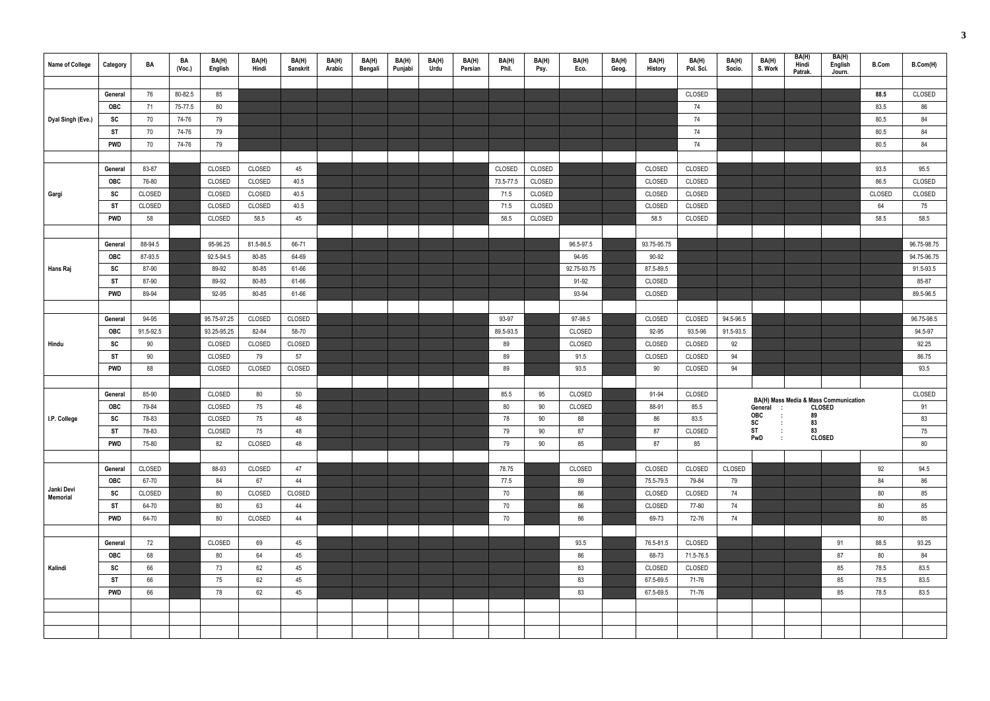| Name of College               | Category         | BA               | BA<br>(Voc.) | BA(H)<br>English | BA(H)<br>Hindi   | BA(H)<br>Sanskrit | BA(H)<br>Arabic | BA(H)<br>Bengali | BA(H)<br>Punjabi | BA(H)<br>Urdu | BA(H)<br>Persian | BA(H)<br>Phil. | BA(H)<br>Psy. | BA(H)<br>Eco.        | BA(H)<br>Geog. | BA(H)<br>History | BA(H)<br>Pol. Sci. | BA(H)<br>Socio. | BA(H)<br>S. Work                               | BA(H)<br>Hindi<br>Patrak. | BA(H)<br>English<br>Journ.                             | <b>B.Com</b> | B.Com(H)    |
|-------------------------------|------------------|------------------|--------------|------------------|------------------|-------------------|-----------------|------------------|------------------|---------------|------------------|----------------|---------------|----------------------|----------------|------------------|--------------------|-----------------|------------------------------------------------|---------------------------|--------------------------------------------------------|--------------|-------------|
|                               |                  |                  |              |                  |                  |                   |                 |                  |                  |               |                  |                |               |                      |                |                  |                    |                 |                                                |                           |                                                        |              |             |
|                               | General          | 76               | 80-82.5      | 85               |                  |                   |                 |                  |                  |               |                  |                |               |                      |                |                  | CLOSED             |                 |                                                |                           |                                                        | 88.5         | CLOSED      |
|                               | <b>OBC</b>       | 71               | 75-77.5      | 80               |                  |                   |                 |                  |                  |               |                  |                |               |                      |                |                  | 74                 |                 |                                                |                           |                                                        | 83.5         | 86          |
| Dyal Singh (Eve.)             | SC               | 70               | 74-76        | 79               |                  |                   |                 |                  |                  |               |                  |                |               |                      |                |                  | 74                 |                 |                                                |                           |                                                        | 80.5         | 84          |
|                               | ST               | 70               | 74-76        | 79               |                  |                   |                 |                  |                  |               |                  |                |               |                      |                |                  | 74                 |                 |                                                |                           |                                                        | 80.5         | 84          |
|                               | <b>PWD</b>       | 70               | 74-76        | 79               |                  |                   |                 |                  |                  |               |                  |                |               |                      |                |                  | 74                 |                 |                                                |                           |                                                        | 80.5         | 84          |
|                               |                  |                  |              |                  |                  |                   |                 |                  |                  |               |                  |                |               |                      |                |                  |                    |                 |                                                |                           |                                                        |              |             |
|                               | General          | 83-87            |              | CLOSED           | CLOSED           | 45                |                 |                  |                  |               |                  | CLOSED         | CLOSED        |                      |                | CLOSED           | CLOSED             |                 |                                                |                           |                                                        | 93.5         | 95.5        |
|                               | <b>OBC</b>       | 76-80            |              | CLOSED           | CLOSED<br>CLOSED | 40.5              |                 |                  |                  |               |                  | 73.5-77.5      | CLOSED        |                      |                | CLOSED           | CLOSED             |                 |                                                |                           |                                                        | 86.5         | CLOSED      |
| Gargi                         | SC               | CLOSED           |              | CLOSED           |                  | 40.5              |                 |                  |                  |               |                  | 71.5           | CLOSED        |                      |                | CLOSED           | CLOSED             |                 |                                                |                           |                                                        | CLOSED<br>64 | CLOSED      |
|                               | ST<br><b>PWD</b> | CLOSED           |              | CLOSED           | CLOSED           | 40.5              |                 |                  |                  |               |                  | 71.5           | CLOSED        |                      |                | CLOSED           | CLOSED             |                 |                                                |                           |                                                        |              | 75<br>58.5  |
|                               |                  | 58               |              | CLOSED           | 58.5             | 45                |                 |                  |                  |               |                  | 58.5           | CLOSED        |                      |                | 58.5             | CLOSED             |                 |                                                |                           |                                                        | 58.5         |             |
|                               |                  | 88-94.5          |              | 95-96.25         | 81.5-86.5        | 66-71             |                 |                  |                  |               |                  |                |               | 96.5-97.5            |                | 93.75-95.75      |                    |                 |                                                |                           |                                                        |              | 96.75-98.75 |
|                               | General          |                  |              | 92.5-94.5        | 80-85            | 64-69             |                 |                  |                  |               |                  |                |               |                      |                | 90-92            |                    |                 |                                                |                           |                                                        |              | 94.75-96.75 |
|                               | <b>OBC</b>       | 87-93.5<br>87-90 |              | 89-92            | 80-85            | 61-66             |                 |                  |                  |               |                  |                |               | 94-95<br>92.75-93.75 |                | 87.5-89.5        |                    |                 |                                                |                           |                                                        |              | 91.5-93.5   |
| Hans Raj                      | SC<br>ST         | 87-90            |              | 89-92            | 80-85            | 61-66             |                 |                  |                  |               |                  |                |               | 91-92                |                | CLOSED           |                    |                 |                                                |                           |                                                        |              | 85-87       |
|                               | <b>PWD</b>       | 89-94            |              | 92-95            | 80-85            | 61-66             |                 |                  |                  |               |                  |                |               | 93-94                |                | CLOSED           |                    |                 |                                                |                           |                                                        |              | 89.5-96.5   |
|                               |                  |                  |              |                  |                  |                   |                 |                  |                  |               |                  |                |               |                      |                |                  |                    |                 |                                                |                           |                                                        |              |             |
|                               | General          | 94-95            |              | 95.75-97.25      | CLOSED           | CLOSED            |                 |                  |                  |               |                  | 93-97          |               | 97-98.5              |                | CLOSED           | CLOSED             | 94.5-96.5       |                                                |                           |                                                        |              | 96.75-98.5  |
|                               | <b>OBC</b>       | 91.5-92.5        |              | 93.25-95.25      | 82-84            | 58-70             |                 |                  |                  |               |                  | 89.5-93.5      |               | CLOSED               |                | 92-95            | 93.5-96            | 91.5-93.5       |                                                |                           |                                                        |              | 94.5-97     |
| Hindu                         | SC               | 90               |              | CLOSED           | CLOSED           | CLOSED            |                 |                  |                  |               |                  | 89             |               | CLOSED               |                | CLOSED           | CLOSED             | 92              |                                                |                           |                                                        |              | 92.25       |
|                               | ST               | 90               |              | CLOSED           | 79               | 57                |                 |                  |                  |               |                  | 89             |               | 91.5                 |                | CLOSED           | CLOSED             | 94              |                                                |                           |                                                        |              | 86.75       |
|                               | <b>PWD</b>       | 88               |              | CLOSED           | CLOSED           | CLOSED            |                 |                  |                  |               |                  | 89             |               | 93.5                 |                | 90               | CLOSED             | 94              |                                                |                           |                                                        |              | 93.5        |
|                               |                  |                  |              |                  |                  |                   |                 |                  |                  |               |                  |                |               |                      |                |                  |                    |                 |                                                |                           |                                                        |              |             |
|                               | General          | 85-90            |              | CLOSED           | 80               | 50                |                 |                  |                  |               |                  | 85.5           | 95            | CLOSED               |                | 91-94            | CLOSED             |                 |                                                |                           |                                                        |              | CLOSED      |
|                               | <b>OBC</b>       | 79-84            |              | CLOSED           | 75               | 48                |                 |                  |                  |               |                  | 80             | 90            | CLOSED               |                | 88-91            | 85.5               |                 | General<br>$\sim$ 10                           |                           | BA(H) Mass Media & Mass Communication<br><b>CLOSED</b> |              | 91          |
| I.P. College                  | SC               | 78-83            |              | CLOSED           | 75               | 48                |                 |                  |                  |               |                  | 78             | 90            | 88                   |                | 86               | 83.5               |                 | OBC<br>$\sim 10$                               | 89                        |                                                        |              | 83          |
|                               | <b>ST</b>        | 78-83            |              | CLOSED           | 75               | 48                |                 |                  |                  |               |                  | 79             | 90            | 87                   |                | 87               | CLOSED             |                 | $SC \t :$<br>ST<br>$\mathcal{L}_{\mathcal{A}}$ | 83<br>83                  |                                                        |              | 75          |
|                               | <b>PWD</b>       | 75-80            |              | 82               | CLOSED           | 48                |                 |                  |                  |               |                  | 79             | 90            | 85                   |                | 87               | 85                 |                 | PwD<br>$\sim 10$                               |                           | <b>CLOSED</b>                                          |              | 80          |
|                               |                  |                  |              |                  |                  |                   |                 |                  |                  |               |                  |                |               |                      |                |                  |                    |                 |                                                |                           |                                                        |              |             |
|                               | General          | CLOSED           |              | 88-93            | CLOSED           | 47                |                 |                  |                  |               |                  | 78.75          |               | CLOSED               |                | CLOSED           | CLOSED             | CLOSED          |                                                |                           |                                                        | 92           | 94.5        |
|                               | OBC              | 67-70            |              | 84               | 67               | 44                |                 |                  |                  |               |                  | 77.5           |               | 89                   |                | 75.5-79.5        | 79-84              | 79              |                                                |                           |                                                        | 84           | 86          |
| Janki Devi<br><b>Memorial</b> | SC               | CLOSED           |              | 80               | CLOSED           | CLOSED            |                 |                  |                  |               |                  | 70             |               | 86                   |                | CLOSED           | CLOSED             | 74              |                                                |                           |                                                        | 80           | 85          |
|                               | ST               | 64-70            |              | 80               | 63               | 44                |                 |                  |                  |               |                  | 70             |               | 86                   |                | CLOSED           | 77-80              | 74              |                                                |                           |                                                        | 80           | 85          |
|                               | <b>PWD</b>       | 64-70            |              | 80               | CLOSED           | 44                |                 |                  |                  |               |                  | 70             |               | 86                   |                | 69-73            | 72-76              | 74              |                                                |                           |                                                        | 80           | 85          |
|                               |                  |                  |              |                  |                  |                   |                 |                  |                  |               |                  |                |               |                      |                |                  |                    |                 |                                                |                           |                                                        |              |             |
|                               | General          | 72               |              | CLOSED           | 69               | 45                |                 |                  |                  |               |                  |                |               | 93.5                 |                | 76.5-81.5        | CLOSED             |                 |                                                |                           | 91                                                     | 88.5         | 93.25       |
|                               | <b>OBC</b>       | 68               |              | 80               | 64               | 45                |                 |                  |                  |               |                  |                |               | 86                   |                | 68-73            | 71.5-76.5          |                 |                                                |                           | 87                                                     | 80           | 84          |
| Kalindi                       | SC               | 66               |              | 73               | 62               | 45                |                 |                  |                  |               |                  |                |               | 83                   |                | CLOSED           | CLOSED             |                 |                                                |                           | 85                                                     | 78.5         | 83.5        |
|                               | ST               | 66               |              | 75               | 62               | 45                |                 |                  |                  |               |                  |                |               | 83                   |                | 67.5-69.5        | 71-76              |                 |                                                |                           | 85                                                     | 78.5         | 83.5        |
|                               | <b>PWD</b>       | 66               |              | 78               | 62               | 45                |                 |                  |                  |               |                  |                |               | 83                   |                | 67.5-69.5        | 71-76              |                 |                                                |                           | 85                                                     | 78.5         | 83.5        |
|                               |                  |                  |              |                  |                  |                   |                 |                  |                  |               |                  |                |               |                      |                |                  |                    |                 |                                                |                           |                                                        |              |             |
|                               |                  |                  |              |                  |                  |                   |                 |                  |                  |               |                  |                |               |                      |                |                  |                    |                 |                                                |                           |                                                        |              |             |
|                               |                  |                  |              |                  |                  |                   |                 |                  |                  |               |                  |                |               |                      |                |                  |                    |                 |                                                |                           |                                                        |              |             |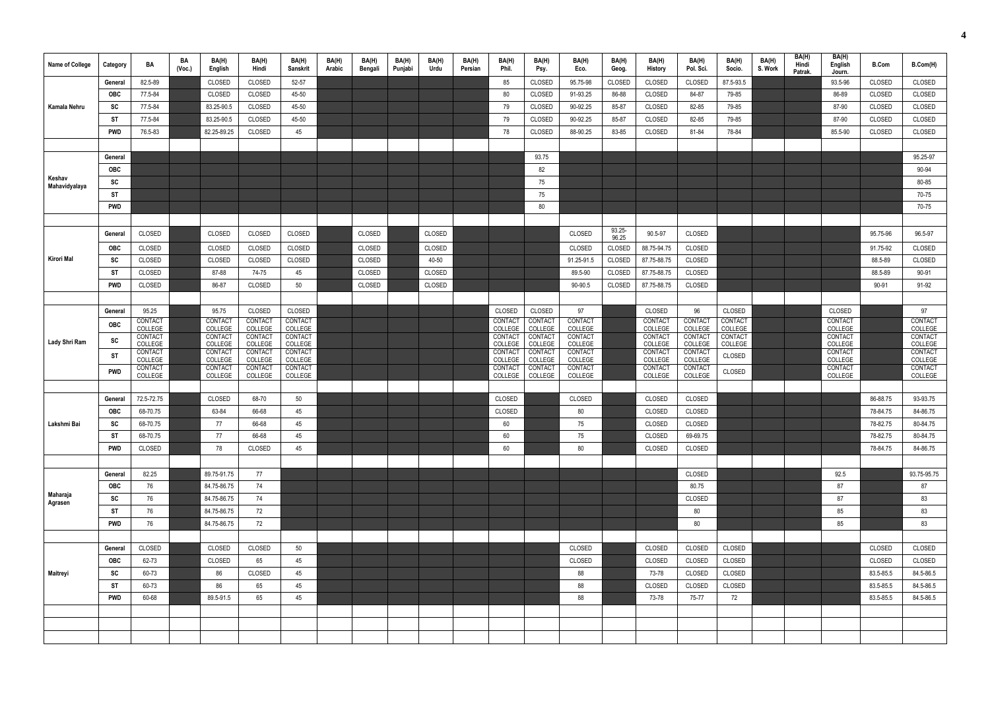| Name of College | Category   | BA                   | BA<br>(Vec.) | BA(H)<br>English   | BA(H)<br>Hindi     | BA(H)<br><b>Sanskrit</b> | BA(H)<br>Arabic | BA(H)<br>Bengali | BA(H)<br>Punjabi | BA(H)<br>Urdu | BA(H)<br>Persian | BA(H)<br>Phil.                 | BA(H)<br>Psy.             | BA(H)<br>Eco.      | BA(H)<br>Geog.     | BA(H)<br>History          | BA(H)<br>Pol. Sci.             | BA(H)<br>Socio.    | BA(H)<br>S. Work | BA(H)<br>Hindi<br>Patrak. | BA(H)<br>English<br>Journ. | <b>B.Com</b>         | B.Com(H)             |
|-----------------|------------|----------------------|--------------|--------------------|--------------------|--------------------------|-----------------|------------------|------------------|---------------|------------------|--------------------------------|---------------------------|--------------------|--------------------|---------------------------|--------------------------------|--------------------|------------------|---------------------------|----------------------------|----------------------|----------------------|
|                 | General    | 82.5-89              |              | CLOSED             | CLOSED             | 52-57                    |                 |                  |                  |               |                  | 85                             | CLOSED                    | 95.75-98           | CLOSED             | CLOSED                    | CLOSED                         | 87.5-93.5          |                  |                           | 93.5-96                    | CLOSED               | CLOSED               |
|                 | <b>OBC</b> | 77.5-84              |              | CLOSED             | CLOSED             | 45-50                    |                 |                  |                  |               |                  | 80                             | CLOSED                    | 91-93.25           | 86-88              | CLOSED                    | 84-87                          | 79-85              |                  |                           | 86-89                      | CLOSED               | CLOSED               |
| Kamala Nehru    | SC         | 77.5-84              |              | 83.25-90.5         | CLOSED             | 45-50                    |                 |                  |                  |               |                  | 79                             | CLOSED                    | 90-92.25           | 85-87              | CLOSED                    | 82-85                          | 79-85              |                  |                           | 87-90                      | CLOSED               | CLOSED               |
|                 | <b>ST</b>  | 77.5-84              |              | 83.25-90.5         | CLOSED             | 45-50                    |                 |                  |                  |               |                  | 79                             | CLOSED                    | 90-92.25           | 85-87              | CLOSED                    | 82-85                          | 79-85              |                  |                           | 87-90                      | CLOSED               | CLOSED               |
|                 | <b>PWD</b> | 76.5-83              |              | 82.25-89.25        | CLOSED             | 45                       |                 |                  |                  |               |                  | 78                             | CLOSED                    | 88-90.25           | 83-85              | CLOSED                    | 81-84                          | 78-84              |                  |                           | 85.5-90                    | CLOSED               | CLOSED               |
|                 |            |                      |              |                    |                    |                          |                 |                  |                  |               |                  |                                |                           |                    |                    |                           |                                |                    |                  |                           |                            |                      |                      |
|                 | General    |                      |              |                    |                    |                          |                 |                  |                  |               |                  |                                | 93.75                     |                    |                    |                           |                                |                    |                  |                           |                            |                      | 95.25-97             |
| Keshav          | <b>OBC</b> |                      |              |                    |                    |                          |                 |                  |                  |               |                  |                                | 82                        |                    |                    |                           |                                |                    |                  |                           |                            |                      | 90-94                |
| Mahavidyalaya   | SC         |                      |              |                    |                    |                          |                 |                  |                  |               |                  |                                | 75                        |                    |                    |                           |                                |                    |                  |                           |                            |                      | 80-85                |
|                 | <b>ST</b>  |                      |              |                    |                    |                          |                 |                  |                  |               |                  |                                | 75                        |                    |                    |                           |                                |                    |                  |                           |                            |                      | 70-75                |
|                 | <b>PWD</b> |                      |              |                    |                    |                          |                 |                  |                  |               |                  |                                | 80                        |                    |                    |                           |                                |                    |                  |                           |                            |                      | 70-75                |
|                 |            |                      |              |                    |                    |                          |                 |                  |                  |               |                  |                                |                           |                    |                    |                           |                                |                    |                  |                           |                            |                      |                      |
|                 | General    | CLOSED               |              | CLOSED             | CLOSED             | CLOSED                   |                 | CLOSED           |                  | CLOSED        |                  |                                |                           | CLOSED             | $93.25 -$<br>96.25 | 90.5-97                   | CLOSED                         |                    |                  |                           |                            | 95.75-96             | 96.5-97              |
|                 | <b>OBC</b> | CLOSED               |              | CLOSED             | CLOSED             | CLOSED                   |                 | CLOSED           |                  | CLOSED        |                  |                                |                           | CLOSED             | CLOSED             | 88.75-94.75               | CLOSED                         |                    |                  |                           |                            | 91.75-92             | CLOSED               |
| Kirori Mal      | <b>SC</b>  | CLOSED               |              | CLOSED             | CLOSED             | CLOSED                   |                 | CLOSED           |                  | 40-50         |                  |                                |                           | 91.25-91.5         | CLOSED             | 87.75-88.75               | CLOSED                         |                    |                  |                           |                            | 88.5-89              | CLOSED               |
|                 | ST         | CLOSED               |              | 87-88              | 74-75              | 45                       |                 | CLOSED           |                  | CLOSED        |                  |                                |                           | 89.5-90            | CLOSED             | 87.75-88.75               | CLOSED                         |                    |                  |                           |                            | 88.5-89              | 90-91                |
|                 | <b>PWD</b> | CLOSED               |              | 86-87              | CLOSED             | 50                       |                 | CLOSED           |                  | CLOSED        |                  |                                |                           | 90-90.5            | CLOSED             | 87.75-88.75               | CLOSED                         |                    |                  |                           |                            | 90-91                | 91-92                |
|                 |            |                      |              |                    |                    |                          |                 |                  |                  |               |                  |                                |                           |                    |                    |                           |                                |                    |                  |                           |                            |                      |                      |
|                 | General    | 95.25                |              | 95.75              | CLOSED             | CLOSED                   |                 |                  |                  |               |                  | CLOSED                         | CLOSED                    | 97                 |                    | CLOSED                    | 96                             | CLOSED             |                  |                           | CLOSED                     |                      | 97                   |
|                 | <b>OBC</b> | CONTACT<br>COLLEGE   |              | CONTACT<br>COLLEGE | CONTACT<br>COLLEGE | CONTACT<br>COLLEGE       |                 |                  |                  |               |                  | CONTAC <sup>-</sup><br>COLLEGE | CONTACT<br>COLLEGE        | CONTACT<br>COLLEGE |                    | CONTACT<br>COLLEGE        | CONTAC <sup>®</sup><br>COLLEGE | CONTACT<br>COLLEGE |                  |                           | CONTACT<br>COLLEGE         |                      | CONTACT<br>COLLEGE   |
| Lady Shri Ram   | <b>SC</b>  | CONTACT<br>COLLEGE   |              | CONTACT<br>COLLEGE | CONTACT<br>COLLEGE | CONTACT<br>COLLEGE       |                 |                  |                  |               |                  | CONTAC <sup>-</sup><br>COLLEGE | CONTACT<br>COLLEGE        | CONTACT<br>COLLEGE |                    | <b>CONTACT</b><br>COLLEGE | CONTAC <sup>®</sup><br>COLLEGE | CONTACT<br>COLLEGE |                  |                           | CONTACT<br>COLLEGE         |                      | CONTACT<br>COLLEGE   |
|                 | <b>ST</b>  | CONTACT              |              | CONTACT            | CONTACT            | CONTACT                  |                 |                  |                  |               |                  | <b>CONTACT</b>                 | CONTACT                   | CONTACT            |                    | CONTACT                   | CONTACT                        | CLOSED             |                  |                           | CONTACT                    |                      | CONTACT              |
|                 | <b>PWD</b> | COLLEGE<br>CONTACT   |              | COLLEGE<br>CONTACT | COLLEGE<br>CONTACT | COLLEGE<br>CONTACT       |                 |                  |                  |               |                  | COLLEGE<br>CONTAC              | COLLEGE<br><b>CONTACT</b> | COLLEGE<br>CONTACT |                    | COLLEGE<br>CONTACT        | COLLEGE<br>CONTACT             |                    |                  |                           | COLLEGE<br>CONTACT         |                      | COLLEGE<br>CONTACT   |
|                 |            | COLLEGE              |              | COLLEGE            | COLLEGE            | COLLEGE                  |                 |                  |                  |               |                  | COLLEGE                        | COLLEGE                   | COLLEGE            |                    | COLLEGE                   | COLLEGE                        | CLOSED             |                  |                           | COLLEGE                    |                      | COLLEGE              |
|                 |            |                      |              |                    |                    |                          |                 |                  |                  |               |                  |                                |                           |                    |                    |                           |                                |                    |                  |                           |                            |                      |                      |
|                 | General    | 72.5-72.75           |              | CLOSED             | 68-70              | 50                       |                 |                  |                  |               |                  | CLOSED                         |                           | CLOSED             |                    | CLOSED                    | CLOSED                         |                    |                  |                           |                            | 86-88.75             | 93-93.75             |
| Lakshmi Bai     | <b>OBC</b> | 68-70.75<br>68-70.75 |              | 63-84<br>$77\,$    | 66-68<br>66-68     | 45<br>45                 |                 |                  |                  |               |                  | CLOSED                         |                           | 80<br>75           |                    | CLOSED<br>CLOSED          | CLOSED<br>CLOSED               |                    |                  |                           |                            | 78-84.75<br>78-82.75 | 84-86.75<br>80-84.75 |
|                 | SC<br>ST   | 68-70.75             |              | 77                 | 66-68              | 45                       |                 |                  |                  |               |                  | 60<br>60                       |                           | 75                 |                    | CLOSED                    | 69-69.75                       |                    |                  |                           |                            | 78-82.75             | 80-84.75             |
|                 | <b>PWD</b> | CLOSED               |              | 78                 | CLOSED             | 45                       |                 |                  |                  |               |                  | 60                             |                           | 80                 |                    | CLOSED                    | CLOSED                         |                    |                  |                           |                            | 78-84.75             | 84-86.75             |
|                 |            |                      |              |                    |                    |                          |                 |                  |                  |               |                  |                                |                           |                    |                    |                           |                                |                    |                  |                           |                            |                      |                      |
|                 | General    | 82.25                |              | 89.75-91.75        | 77                 |                          |                 |                  |                  |               |                  |                                |                           |                    |                    |                           | CLOSED                         |                    |                  |                           | 92.5                       |                      | 93.75-95.75          |
|                 | OBC        | 76                   |              | 84.75-86.75        | 74                 |                          |                 |                  |                  |               |                  |                                |                           |                    |                    |                           | 80.75                          |                    |                  |                           | 87                         |                      | 87                   |
| Maharaja        | SC         | 76                   |              | 84.75-86.75        | 74                 |                          |                 |                  |                  |               |                  |                                |                           |                    |                    |                           | CLOSED                         |                    |                  |                           | 87                         |                      | 83                   |
| Agrasen         | <b>ST</b>  | 76                   |              | 84.75-86.75        | 72                 |                          |                 |                  |                  |               |                  |                                |                           |                    |                    |                           | 80                             |                    |                  |                           | 85                         |                      | 83                   |
|                 | <b>PWD</b> | 76                   |              | 84.75-86.75        | 72                 |                          |                 |                  |                  |               |                  |                                |                           |                    |                    |                           | 80                             |                    |                  |                           | 85                         |                      | 83                   |
|                 |            |                      |              |                    |                    |                          |                 |                  |                  |               |                  |                                |                           |                    |                    |                           |                                |                    |                  |                           |                            |                      |                      |
|                 | General    | CLOSED               |              | CLOSED             | CLOSED             | 50                       |                 |                  |                  |               |                  |                                |                           | CLOSED             |                    | CLOSED                    | CLOSED                         | CLOSED             |                  |                           |                            | CLOSED               | CLOSED               |
|                 | OBC        | 62-73                |              | CLOSED             | 65                 | 45                       |                 |                  |                  |               |                  |                                |                           | CLOSED             |                    | CLOSED                    | CLOSED                         | CLOSED             |                  |                           |                            | CLOSED               | CLOSED               |
| Maitreyi        | SC         | 60-73                |              | 86                 | CLOSED             | 45                       |                 |                  |                  |               |                  |                                |                           | 88                 |                    | 73-78                     | CLOSED                         | CLOSED             |                  |                           |                            | 83.5-85.5            | 84.5-86.5            |
|                 | <b>ST</b>  | 60-73                |              | 86                 | 65                 | 45                       |                 |                  |                  |               |                  |                                |                           | 88                 |                    | CLOSED                    | CLOSED                         | CLOSED             |                  |                           |                            | 83.5-85.5            | 84.5-86.5            |
|                 | <b>PWD</b> | 60-68                |              | 89.5-91.5          | 65                 | 45                       |                 |                  |                  |               |                  |                                |                           | 88                 |                    | 73-78                     | 75-77                          | 72                 |                  |                           |                            | 83.5-85.5            | 84.5-86.5            |
|                 |            |                      |              |                    |                    |                          |                 |                  |                  |               |                  |                                |                           |                    |                    |                           |                                |                    |                  |                           |                            |                      |                      |
|                 |            |                      |              |                    |                    |                          |                 |                  |                  |               |                  |                                |                           |                    |                    |                           |                                |                    |                  |                           |                            |                      |                      |
|                 |            |                      |              |                    |                    |                          |                 |                  |                  |               |                  |                                |                           |                    |                    |                           |                                |                    |                  |                           |                            |                      |                      |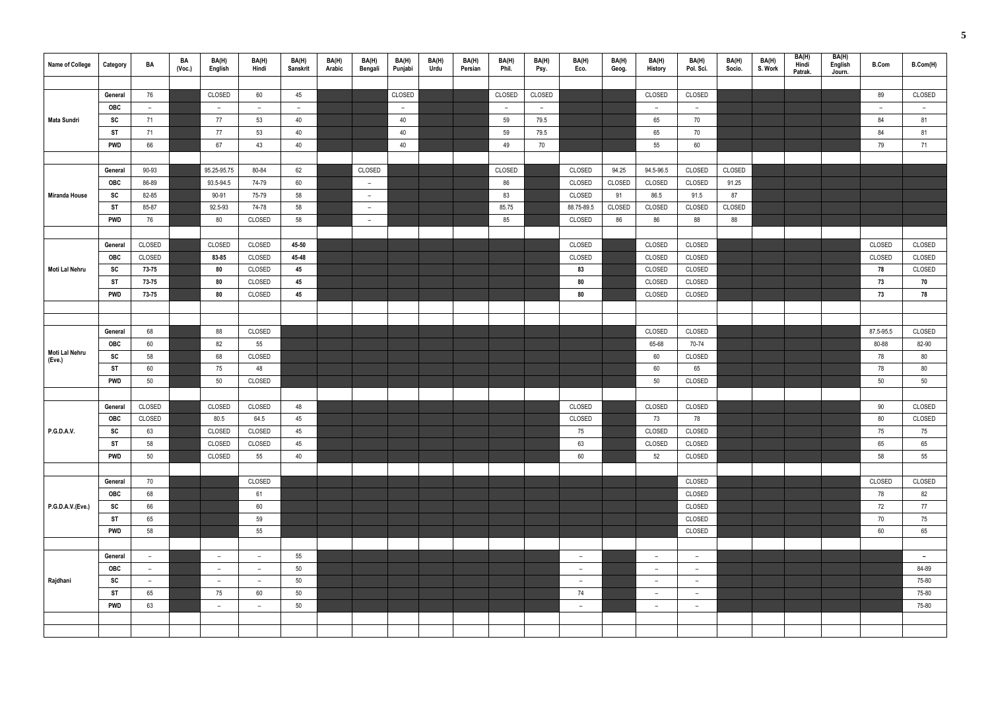| Name of College          | Category         | BA             | BA<br>(Voc.) | BA(H)<br>English         | BA(H)<br>Hindi           | BA(H)<br>Sanskrit | BA(H)<br>Arabic | BA(H)<br>Bengali | BA(H)<br>Punjabi | BA(H)<br>Urdu | BA(H)<br>Persian | BA(H)<br>Phil. | BA(H)<br>Psy. | BA(H)<br>Eco.            | BA(H)<br>Geog. | BA(H)<br>History         | BA(H)<br>Pol. Sci. | BA(H)<br>Socio. | BA(H)<br>S. Work | BA(H)<br>Hindi<br>Patrak. | BA(H)<br>English<br>Journ. | <b>B.Com</b> | B.Com(H) |
|--------------------------|------------------|----------------|--------------|--------------------------|--------------------------|-------------------|-----------------|------------------|------------------|---------------|------------------|----------------|---------------|--------------------------|----------------|--------------------------|--------------------|-----------------|------------------|---------------------------|----------------------------|--------------|----------|
|                          |                  |                |              |                          |                          |                   |                 |                  |                  |               |                  |                |               |                          |                |                          |                    |                 |                  |                           |                            |              |          |
|                          | General          | 76             |              | CLOSED                   | 60                       | 45                |                 |                  | CLOSED           |               |                  | CLOSED         | CLOSED        |                          |                | CLOSED                   | CLOSED             |                 |                  |                           |                            | 89           | CLOSED   |
|                          | <b>OBC</b>       | $-$            |              | $\overline{a}$           | $-$                      | $\sim$            |                 |                  | $\sim$           |               |                  | $ \,$          | $\sim$        |                          |                | $ \,$                    | $\sim$             |                 |                  |                           |                            | $ \,$        | $ \,$    |
| <b>Mata Sundri</b>       | SC               | 71             |              | 77                       | 53                       | 40                |                 |                  | 40               |               |                  | 59             | 79.5          |                          |                | 65                       | 70                 |                 |                  |                           |                            | 84           | 81       |
|                          | <b>ST</b>        | 71             |              | 77                       | 53                       | 40                |                 |                  | 40               |               |                  | 59             | 79.5          |                          |                | 65                       | 70                 |                 |                  |                           |                            | 84           | 81       |
|                          | <b>PWD</b>       | 66             |              | 67                       | 43                       | 40                |                 |                  | 40               |               |                  | 49             | 70            |                          |                | 55                       | 60                 |                 |                  |                           |                            | 79           | 71       |
|                          |                  | 90-93          |              | 95.25-95.75              | 80-84                    | 62                |                 | CLOSED           |                  |               |                  | CLOSED         |               | CLOSED                   | 94.25          | 94.5-96.5                | CLOSED             | CLOSED          |                  |                           |                            |              |          |
|                          | General<br>OBC   | 86-89          |              | 93.5-94.5                | 74-79                    | 60                |                 | $ \,$            |                  |               |                  | 86             |               | CLOSED                   | CLOSED         | CLOSED                   | CLOSED             | 91.25           |                  |                           |                            |              |          |
| <b>Miranda House</b>     | <b>SC</b>        | 82-85          |              | 90-91                    | 75-79                    | 58                |                 | $ \,$            |                  |               |                  | 83             |               | CLOSED                   | 91             | 86.5                     | 91.5               | 87              |                  |                           |                            |              |          |
|                          | ST               | 85-87          |              | 92.5-93                  | 74-78                    | 58                |                 | $\sim$           |                  |               |                  | 85.75          |               | 88.75-89.5               | CLOSED         | CLOSED                   | CLOSED             | CLOSED          |                  |                           |                            |              |          |
|                          | <b>PWD</b>       | 76             |              | 80                       | CLOSED                   | 58                |                 | $ \,$            |                  |               |                  | 85             |               | CLOSED                   | 86             | 86                       | 88                 | 88              |                  |                           |                            |              |          |
|                          |                  |                |              |                          |                          |                   |                 |                  |                  |               |                  |                |               |                          |                |                          |                    |                 |                  |                           |                            |              |          |
|                          | General          | CLOSED         |              | CLOSED                   | CLOSED                   | 45-50             |                 |                  |                  |               |                  |                |               | CLOSED                   |                | CLOSED                   | CLOSED             |                 |                  |                           |                            | CLOSED       | CLOSED   |
|                          | OBC              | CLOSED         |              | 83-85                    | CLOSED                   | 45-48             |                 |                  |                  |               |                  |                |               | CLOSED                   |                | CLOSED                   | CLOSED             |                 |                  |                           |                            | CLOSED       | CLOSED   |
| Moti Lal Nehru           | SC               | 73-75          |              | 80                       | CLOSED                   | 45                |                 |                  |                  |               |                  |                |               | 83                       |                | CLOSED                   | CLOSED             |                 |                  |                           |                            | 78           | CLOSED   |
|                          | <b>ST</b>        | 73-75          |              | 80                       | CLOSED                   | 45                |                 |                  |                  |               |                  |                |               | 80                       |                | CLOSED                   | CLOSED             |                 |                  |                           |                            | 73           | 70       |
|                          | <b>PWD</b>       | 73-75          |              | 80                       | CLOSED                   | 45                |                 |                  |                  |               |                  |                |               | 80                       |                | CLOSED                   | CLOSED             |                 |                  |                           |                            | 73           | 78       |
|                          |                  |                |              |                          |                          |                   |                 |                  |                  |               |                  |                |               |                          |                |                          |                    |                 |                  |                           |                            |              |          |
|                          |                  |                |              |                          |                          |                   |                 |                  |                  |               |                  |                |               |                          |                |                          |                    |                 |                  |                           |                            |              |          |
|                          | General          | 68             |              | 88                       | CLOSED                   |                   |                 |                  |                  |               |                  |                |               |                          |                | CLOSED                   | CLOSED             |                 |                  |                           |                            | 87.5-95.5    | CLOSED   |
|                          | OBC              | 60             |              | 82                       | 55                       |                   |                 |                  |                  |               |                  |                |               |                          |                | 65-68                    | 70-74              |                 |                  |                           |                            | 80-88        | 82-90    |
| Moti Lal Nehru<br>(Eve.) | SC               | 58             |              | 68                       | CLOSED                   |                   |                 |                  |                  |               |                  |                |               |                          |                | 60                       | CLOSED             |                 |                  |                           |                            | 78           | 80       |
|                          | <b>ST</b>        | 60             |              | 75                       | 48                       |                   |                 |                  |                  |               |                  |                |               |                          |                | 60                       | 65                 |                 |                  |                           |                            | 78           | 80       |
|                          | <b>PWD</b>       | 50             |              | 50                       | CLOSED                   |                   |                 |                  |                  |               |                  |                |               |                          |                | 50                       | CLOSED             |                 |                  |                           |                            | 50           | 50       |
|                          |                  |                |              |                          |                          |                   |                 |                  |                  |               |                  |                |               |                          |                |                          |                    |                 |                  |                           |                            |              |          |
|                          | General          | CLOSED         |              | CLOSED                   | CLOSED                   | 48                |                 |                  |                  |               |                  |                |               | CLOSED                   |                | CLOSED                   | CLOSED             |                 |                  |                           |                            | 90           | CLOSED   |
|                          | OBC              | CLOSED         |              | 80.5                     | 64.5                     | 45                |                 |                  |                  |               |                  |                |               | CLOSED                   |                | 73                       | 78                 |                 |                  |                           |                            | 80           | CLOSED   |
| P.G.D.A.V.               | SC               | 63             |              | CLOSED                   | CLOSED                   | 45                |                 |                  |                  |               |                  |                |               | 75                       |                | CLOSED                   | CLOSED             |                 |                  |                           |                            | 75           | 75       |
|                          | ST<br><b>PWD</b> | 58             |              | CLOSED<br>CLOSED         | CLOSED                   | 45                |                 |                  |                  |               |                  |                |               | 63                       |                | CLOSED                   | CLOSED             |                 |                  |                           |                            | 65           | 65       |
|                          |                  | 50             |              |                          | 55                       | 40                |                 |                  |                  |               |                  |                |               | 60                       |                | 52                       | CLOSED             |                 |                  |                           |                            | 58           | 55       |
|                          | General          | 70             |              |                          | CLOSED                   |                   |                 |                  |                  |               |                  |                |               |                          |                |                          | CLOSED             |                 |                  |                           |                            | CLOSED       | CLOSED   |
|                          | OBC              | 68             |              |                          | 61                       |                   |                 |                  |                  |               |                  |                |               |                          |                |                          | CLOSED             |                 |                  |                           |                            | 78           | 82       |
| P.G.D.A.V.(Eve.)         | SC               | 66             |              |                          | 60                       |                   |                 |                  |                  |               |                  |                |               |                          |                |                          | CLOSED             |                 |                  |                           |                            | 72           | 77       |
|                          | <b>ST</b>        | 65             |              |                          | 59                       |                   |                 |                  |                  |               |                  |                |               |                          |                |                          | CLOSED             |                 |                  |                           |                            | 70           | 75       |
|                          | <b>PWD</b>       | 58             |              |                          | 55                       |                   |                 |                  |                  |               |                  |                |               |                          |                |                          | CLOSED             |                 |                  |                           |                            | 60           | 65       |
|                          |                  |                |              |                          |                          |                   |                 |                  |                  |               |                  |                |               |                          |                |                          |                    |                 |                  |                           |                            |              |          |
|                          | General          | $-$            |              | $\overline{a}$           | $\overline{\phantom{a}}$ | 55                |                 |                  |                  |               |                  |                |               | $-$                      |                | $\overline{\phantom{0}}$ | $-$                |                 |                  |                           |                            |              | $\sim$   |
|                          | OBC              | $\overline{a}$ |              | $\overline{a}$           | $\overline{\phantom{a}}$ | 50                |                 |                  |                  |               |                  |                |               | $-$                      |                | $\overline{\phantom{0}}$ | $-$                |                 |                  |                           |                            |              | 84-89    |
| Rajdhani                 | SC               | $-$            |              | $\overline{a}$           | $-$                      | 50                |                 |                  |                  |               |                  |                |               | $-$                      |                | $-$                      | $-$                |                 |                  |                           |                            |              | 75-80    |
|                          | ST               | 65             |              | 75                       | 60                       | 50                |                 |                  |                  |               |                  |                |               | 74                       |                | $\overline{\phantom{0}}$ | $-$                |                 |                  |                           |                            |              | 75-80    |
|                          | <b>PWD</b>       | 63             |              | $\overline{\phantom{a}}$ | $\overline{\phantom{a}}$ | $50\,$            |                 |                  |                  |               |                  |                |               | $\overline{\phantom{m}}$ |                | $\overline{\phantom{a}}$ | $-$                |                 |                  |                           |                            |              | 75-80    |
|                          |                  |                |              |                          |                          |                   |                 |                  |                  |               |                  |                |               |                          |                |                          |                    |                 |                  |                           |                            |              |          |
|                          |                  |                |              |                          |                          |                   |                 |                  |                  |               |                  |                |               |                          |                |                          |                    |                 |                  |                           |                            |              |          |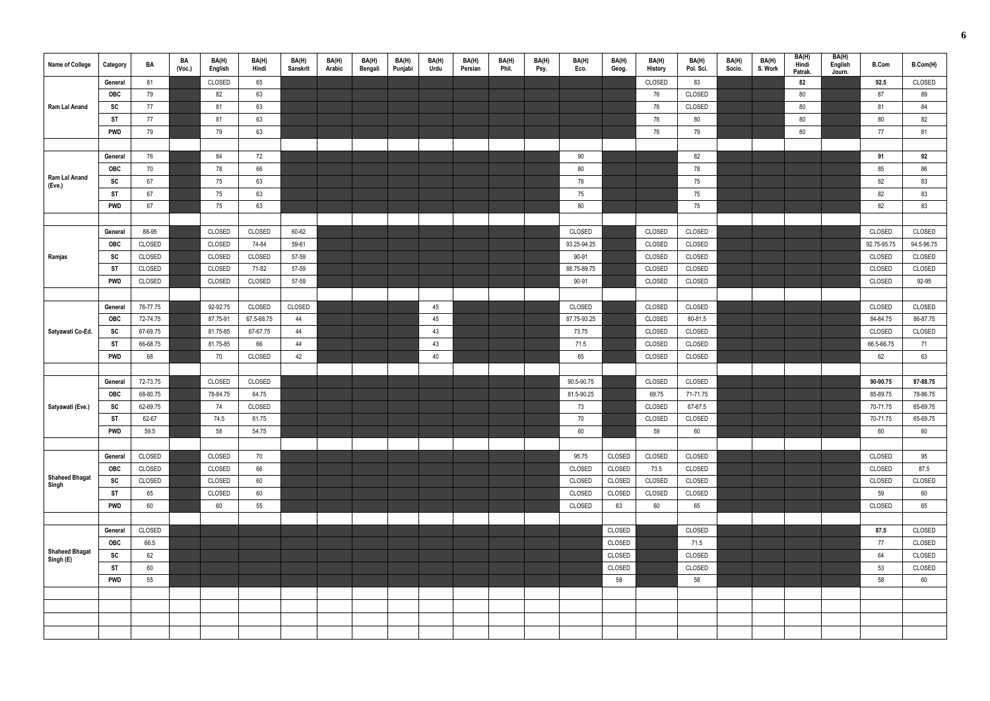| Name of College       | Category               | BA             | BA<br>(Voc.) | BA(H)<br>English | BA(H)<br>Hindi | BA(H)<br>Sanskrit | BA(H)<br>Arabic | BA(H)<br>Bengali | BA(H)<br>Punjabi | BA(H)<br>Urdu | BA(H)<br>Persian | BA(H)<br>Phil. | BA(H)<br>Psy. | BA(H)<br>Eco. | BA(H)<br>Geog.   | BA(H)<br>History | BA(H)<br>Pol. Sci. | BA(H)<br>Socio. | BA(H)<br>S. Work | BA(H)<br>Hindi<br>Patrak. | BA(H)<br>English<br>Journ. | <b>B.Com</b> | B.Com(H)         |
|-----------------------|------------------------|----------------|--------------|------------------|----------------|-------------------|-----------------|------------------|------------------|---------------|------------------|----------------|---------------|---------------|------------------|------------------|--------------------|-----------------|------------------|---------------------------|----------------------------|--------------|------------------|
|                       | General                | 81             |              | CLOSED           | 65             |                   |                 |                  |                  |               |                  |                |               |               |                  | CLOSED           | 83                 |                 |                  | 82                        |                            | 92.5         | CLOSED           |
|                       | <b>OBC</b>             | 79             |              | 82               | 63             |                   |                 |                  |                  |               |                  |                |               |               |                  | 76               | CLOSED             |                 |                  | 80                        |                            | 87           | 89               |
| Ram Lal Anand         | SC                     | 77             |              | 81               | 63             |                   |                 |                  |                  |               |                  |                |               |               |                  | 76               | CLOSED             |                 |                  | 80                        |                            | 81           | 84               |
|                       | ST                     | 77             |              | 81               | 63             |                   |                 |                  |                  |               |                  |                |               |               |                  | 76               | 80                 |                 |                  | 80                        |                            | 80           | 82               |
|                       | <b>PWD</b>             | 79             |              | 79               | 63             |                   |                 |                  |                  |               |                  |                |               |               |                  | 76               | 79                 |                 |                  | 80                        |                            | 77           | 81               |
|                       |                        |                |              |                  |                |                   |                 |                  |                  |               |                  |                |               |               |                  |                  |                    |                 |                  |                           |                            |              |                  |
|                       | General                | 76             |              | 84               | 72             |                   |                 |                  |                  |               |                  |                |               | 90            |                  |                  | 82                 |                 |                  |                           |                            | 91           | 92               |
| Ram Lal Anand         | OBC                    | 70             |              | 78               | 66             |                   |                 |                  |                  |               |                  |                |               | 80            |                  |                  | 78                 |                 |                  |                           |                            | 85           | 86               |
| (Eve.)                | SC                     | 67             |              | 75               | 63             |                   |                 |                  |                  |               |                  |                |               | 78            |                  |                  | 75                 |                 |                  |                           |                            | 82           | 83               |
|                       | ST                     | 67             |              | 75               | 63             |                   |                 |                  |                  |               |                  |                |               | 75            |                  |                  | 75                 |                 |                  |                           |                            | 82           | 83               |
|                       | <b>PWD</b>             | 67             |              | 75               | 63             |                   |                 |                  |                  |               |                  |                |               | 80            |                  |                  | 75                 |                 |                  |                           |                            | 82           | 83               |
|                       |                        |                |              |                  |                |                   |                 |                  |                  |               |                  |                |               |               |                  |                  |                    |                 |                  |                           |                            |              |                  |
|                       | General                | 88-95          |              | CLOSED           | CLOSED         | 60-62             |                 |                  |                  |               |                  |                |               | CLOSED        |                  | CLOSED           | CLOSED             |                 |                  |                           |                            | CLOSED       | CLOSED           |
|                       | OBC                    | CLOSED         |              | CLOSED           | 74-84          | 59-61             |                 |                  |                  |               |                  |                |               | 93.25-94.25   |                  | CLOSED           | CLOSED             |                 |                  |                           |                            | 92.75-95.75  | 94.5-96.75       |
| Ramjas                | SC                     | CLOSED         |              | CLOSED           | CLOSED         | 57-59             |                 |                  |                  |               |                  |                |               | 90-91         |                  | CLOSED           | CLOSED             |                 |                  |                           |                            | CLOSED       | CLOSED           |
|                       | ST                     | CLOSED         |              | CLOSED           | 71-82          | 57-59             |                 |                  |                  |               |                  |                |               | 88.75-89.75   |                  | CLOSED           | CLOSED             |                 |                  |                           |                            | CLOSED       | CLOSED           |
|                       | <b>PWD</b>             | CLOSED         |              | CLOSED           | CLOSED         | 57-59             |                 |                  |                  |               |                  |                |               | 90-91         |                  | CLOSED           | CLOSED             |                 |                  |                           |                            | CLOSED       | 92-95            |
|                       |                        |                |              |                  |                |                   |                 |                  |                  |               |                  |                |               |               |                  |                  |                    |                 |                  |                           |                            |              |                  |
|                       | General                | 76-77.75       |              | 92-92.75         | CLOSED         | CLOSED            |                 |                  |                  | 45            |                  |                |               | CLOSED        |                  | CLOSED           | CLOSED             |                 |                  |                           |                            | CLOSED       | CLOSED           |
|                       | <b>OBC</b>             | 72-74.75       |              | 87.75-91         | 67.5-68.75     | 44                |                 |                  |                  | 45            |                  |                |               | 87.75-93.25   |                  | CLOSED           | 80-81.5            |                 |                  |                           |                            | 84-84.75     | 86-87.75         |
| Satyawati Co-Ed.      | SC                     | 67-69.75       |              | 81.75-85         | 67-67.75       | 44                |                 |                  |                  | 43            |                  |                |               | 73.75         |                  | CLOSED           | CLOSED             |                 |                  |                           |                            | CLOSED       | CLOSED           |
|                       | ST                     | 66-68.75       |              | 81.75-85         | 66             | 44                |                 |                  |                  | 43            |                  |                |               | 71.5          |                  | CLOSED           | CLOSED             |                 |                  |                           |                            | 66.5-66.75   | 71               |
|                       | <b>PWD</b>             | 68             |              | 70               | CLOSED         | 42                |                 |                  |                  | 40            |                  |                |               | 65            |                  | CLOSED           | CLOSED             |                 |                  |                           |                            | 62           | 63               |
|                       |                        |                |              |                  |                |                   |                 |                  |                  |               |                  |                |               |               |                  |                  |                    |                 |                  |                           |                            |              |                  |
|                       | General                | 72-73.75       |              | CLOSED           | CLOSED         |                   |                 |                  |                  |               |                  |                |               | 90.5-90.75    |                  | CLOSED           | CLOSED             |                 |                  |                           |                            | 90-90.75     | 87-88.75         |
|                       | OBC                    | 68-80.75       |              | 78-84.75         | 64.75          |                   |                 |                  |                  |               |                  |                |               | 81.5-90.25    |                  | 69.75            | 71-71.75           |                 |                  |                           |                            | 85-89.75     | 78-86.75         |
| Satyawati (Eve.)      | SC                     | 62-69.75       |              | 74               | CLOSED         |                   |                 |                  |                  |               |                  |                |               | 73            |                  | CLOSED           | 67-67.5            |                 |                  |                           |                            | 70-71.75     | 65-69.75         |
|                       | <b>ST</b>              | 62-67          |              | 74.5             | 61.75          |                   |                 |                  |                  |               |                  |                |               | 70            |                  | CLOSED           | CLOSED             |                 |                  |                           |                            | 70-71.75     | 65-69.75         |
|                       | <b>PWD</b>             | 59.5           |              | 58               | 54.75          |                   |                 |                  |                  |               |                  |                |               | 60            |                  | 59               | 60                 |                 |                  |                           |                            | 60           | 60               |
|                       |                        |                |              |                  |                |                   |                 |                  |                  |               |                  |                |               |               |                  |                  |                    |                 |                  |                           |                            |              |                  |
|                       | General                | CLOSED         |              | CLOSED           | 70             |                   |                 |                  |                  |               |                  |                |               | 95.75         | CLOSED           | CLOSED           | CLOSED             |                 |                  |                           |                            | CLOSED       | 95               |
| <b>Shaheed Bhagat</b> | OBC                    | CLOSED         |              | CLOSED           | 66             |                   |                 |                  |                  |               |                  |                |               | CLOSED        | CLOSED           | 73.5             | CLOSED             |                 |                  |                           |                            | CLOSED       | 87.5             |
| Singh                 | SC                     | CLOSED         |              | CLOSED           | 60             |                   |                 |                  |                  |               |                  |                |               | CLOSED        | CLOSED           | CLOSED           | CLOSED             |                 |                  |                           |                            | CLOSED       | CLOSED           |
|                       | <b>ST</b>              | 65             |              | CLOSED           | 60             |                   |                 |                  |                  |               |                  |                |               | CLOSED        | CLOSED           | CLOSED           | CLOSED             |                 |                  |                           |                            | 59           | 60               |
|                       | <b>PWD</b>             | 60             |              | 60               | 55             |                   |                 |                  |                  |               |                  |                |               | CLOSED        | 63               | $60\,$           | 65                 |                 |                  |                           |                            | CLOSED       | 65               |
|                       |                        |                |              |                  |                |                   |                 |                  |                  |               |                  |                |               |               |                  |                  |                    |                 |                  |                           |                            |              |                  |
|                       | General<br>OBC         | CLOSED<br>66.5 |              |                  |                |                   |                 |                  |                  |               |                  |                |               |               | CLOSED<br>CLOSED |                  | CLOSED             |                 |                  |                           |                            | 87.5<br>77   | CLOSED<br>CLOSED |
| <b>Shaheed Bhagat</b> |                        |                |              |                  |                |                   |                 |                  |                  |               |                  |                |               |               |                  |                  | 71.5               |                 |                  |                           |                            |              |                  |
| Singh (E)             | <b>SC</b><br><b>ST</b> | 62             |              |                  |                |                   |                 |                  |                  |               |                  |                |               |               | CLOSED<br>CLOSED |                  | CLOSED<br>CLOSED   |                 |                  |                           |                            | 64<br>53     | CLOSED<br>CLOSED |
|                       | <b>PWD</b>             | 60<br>55       |              |                  |                |                   |                 |                  |                  |               |                  |                |               |               |                  |                  |                    |                 |                  |                           |                            |              |                  |
|                       |                        |                |              |                  |                |                   |                 |                  |                  |               |                  |                |               |               | 58               |                  | 58                 |                 |                  |                           |                            | 58           | 60               |
|                       |                        |                |              |                  |                |                   |                 |                  |                  |               |                  |                |               |               |                  |                  |                    |                 |                  |                           |                            |              |                  |
|                       |                        |                |              |                  |                |                   |                 |                  |                  |               |                  |                |               |               |                  |                  |                    |                 |                  |                           |                            |              |                  |
|                       |                        |                |              |                  |                |                   |                 |                  |                  |               |                  |                |               |               |                  |                  |                    |                 |                  |                           |                            |              |                  |
|                       |                        |                |              |                  |                |                   |                 |                  |                  |               |                  |                |               |               |                  |                  |                    |                 |                  |                           |                            |              |                  |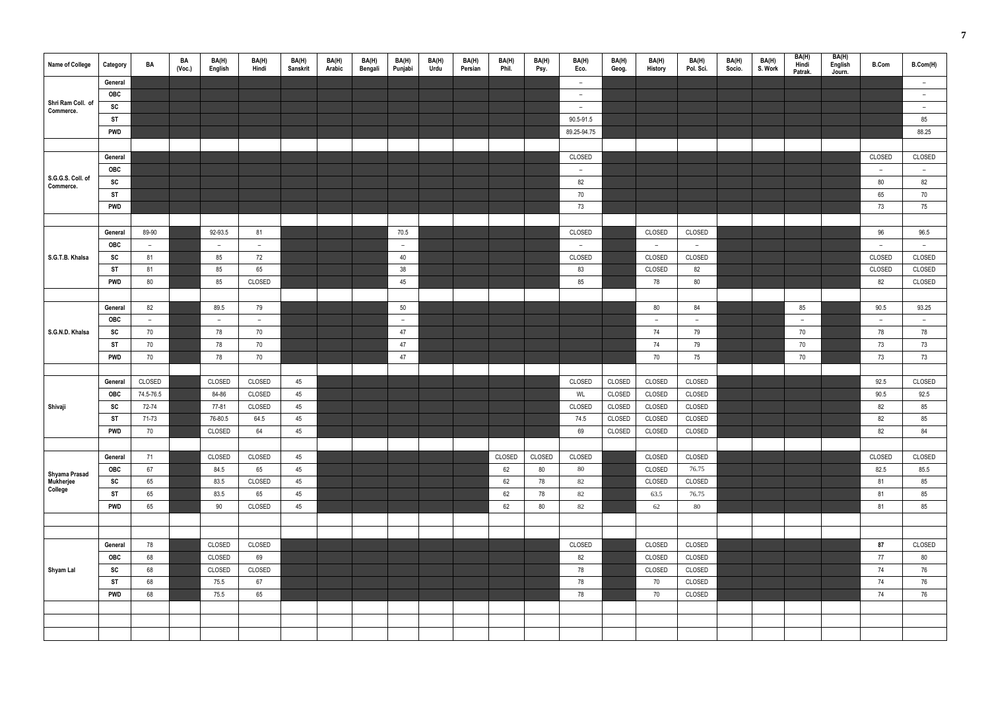| Name of College                | Category   | BA        | BA<br>(Voc.) | BA(H)<br>English | BA(H)<br>Hindi | BA(H)<br>Sanskrit | BA(H)<br>Arabic | BA(H)<br>Bengali | BA(H)<br>Punjabi | BA(H)<br><b>Urdu</b> | BA(H)<br>Persian | BA(H)<br>Phil. | BA(H)<br>Psy. | BA(H)<br>Eco. | BA(H)<br>Geog. | BA(H)<br>History | BA(H)<br>Pol. Sci. | BA(H)<br>Socio. | BA(H)<br>S. Work | BA(H)<br>Hindi<br>Patrak. | BA(H)<br>English<br>Journ. | <b>B.Com</b> | B.Com(H)                 |
|--------------------------------|------------|-----------|--------------|------------------|----------------|-------------------|-----------------|------------------|------------------|----------------------|------------------|----------------|---------------|---------------|----------------|------------------|--------------------|-----------------|------------------|---------------------------|----------------------------|--------------|--------------------------|
|                                | General    |           |              |                  |                |                   |                 |                  |                  |                      |                  |                |               | $-$           |                |                  |                    |                 |                  |                           |                            |              | $\overline{\phantom{a}}$ |
|                                | OBC        |           |              |                  |                |                   |                 |                  |                  |                      |                  |                |               | $ \,$         |                |                  |                    |                 |                  |                           |                            |              | $ \,$                    |
| Shri Ram Coll. of<br>Commerce. | SC         |           |              |                  |                |                   |                 |                  |                  |                      |                  |                |               | $ \,$         |                |                  |                    |                 |                  |                           |                            |              | $ \,$                    |
|                                | <b>ST</b>  |           |              |                  |                |                   |                 |                  |                  |                      |                  |                |               | 90.5-91.5     |                |                  |                    |                 |                  |                           |                            |              | 85                       |
|                                | <b>PWD</b> |           |              |                  |                |                   |                 |                  |                  |                      |                  |                |               | 89.25-94.75   |                |                  |                    |                 |                  |                           |                            |              | 88.25                    |
|                                |            |           |              |                  |                |                   |                 |                  |                  |                      |                  |                |               |               |                |                  |                    |                 |                  |                           |                            |              |                          |
|                                | General    |           |              |                  |                |                   |                 |                  |                  |                      |                  |                |               | CLOSED        |                |                  |                    |                 |                  |                           |                            | CLOSED       | CLOSED                   |
|                                | OBC        |           |              |                  |                |                   |                 |                  |                  |                      |                  |                |               | $-$           |                |                  |                    |                 |                  |                           |                            | $ \,$        | $\overline{\phantom{a}}$ |
| S.G.G.S. Coll. of<br>Commerce. | SC         |           |              |                  |                |                   |                 |                  |                  |                      |                  |                |               | 82            |                |                  |                    |                 |                  |                           |                            | 80           | 82                       |
|                                | <b>ST</b>  |           |              |                  |                |                   |                 |                  |                  |                      |                  |                |               | 70            |                |                  |                    |                 |                  |                           |                            | 65           | 70                       |
|                                | <b>PWD</b> |           |              |                  |                |                   |                 |                  |                  |                      |                  |                |               | 73            |                |                  |                    |                 |                  |                           |                            | 73           | 75                       |
|                                |            |           |              |                  |                |                   |                 |                  |                  |                      |                  |                |               |               |                |                  |                    |                 |                  |                           |                            |              |                          |
|                                | General    | 89-90     |              | 92-93.5          | 81             |                   |                 |                  | 70.5             |                      |                  |                |               | CLOSED        |                | CLOSED           | CLOSED             |                 |                  |                           |                            | 96           | 96.5                     |
|                                | <b>OBC</b> | $ \,$     |              | $\sim$           | $ \,$          |                   |                 |                  | $\sim$           |                      |                  |                |               | $\sim$        |                | $\sim$           | $\sim$             |                 |                  |                           |                            | $ \,$        | $\sim$                   |
| S.G.T.B. Khalsa                | SC         | 81        |              | 85               | 72             |                   |                 |                  | 40               |                      |                  |                |               | CLOSED        |                | CLOSED           | CLOSED             |                 |                  |                           |                            | CLOSED       | CLOSED                   |
|                                | <b>ST</b>  | 81        |              | 85               | 65             |                   |                 |                  | 38               |                      |                  |                |               | 83            |                | CLOSED           | 82                 |                 |                  |                           |                            | CLOSED       | CLOSED                   |
|                                | <b>PWD</b> | 80        |              | 85               | CLOSED         |                   |                 |                  | 45               |                      |                  |                |               | 85            |                | 78               | 80                 |                 |                  |                           |                            | 82           | CLOSED                   |
|                                |            |           |              |                  |                |                   |                 |                  |                  |                      |                  |                |               |               |                |                  |                    |                 |                  |                           |                            |              |                          |
|                                | General    | 82        |              | 89.5             | 79             |                   |                 |                  | 50               |                      |                  |                |               |               |                | 80               | 84                 |                 |                  | 85                        |                            | 90.5         | 93.25                    |
|                                | <b>OBC</b> | $ \,$     |              | $ \,$            | $\sim$         |                   |                 |                  | $\sim$           |                      |                  |                |               |               |                | $\sim$           | $\sim$             |                 |                  | $ \,$                     |                            | $\sim$       | $\overline{\phantom{a}}$ |
| S.G.N.D. Khalsa                | SC         | 70        |              | 78               | 70             |                   |                 |                  | 47               |                      |                  |                |               |               |                | 74               | 79                 |                 |                  | 70                        |                            | 78           | 78                       |
|                                | <b>ST</b>  | 70        |              | 78               | 70             |                   |                 |                  | 47               |                      |                  |                |               |               |                | 74               | 79                 |                 |                  | 70                        |                            | 73           | 73                       |
|                                | <b>PWD</b> | 70        |              | 78               | $70\,$         |                   |                 |                  | 47               |                      |                  |                |               |               |                | 70               | 75                 |                 |                  | 70                        |                            | 73           | 73                       |
|                                |            |           |              |                  |                |                   |                 |                  |                  |                      |                  |                |               |               |                |                  |                    |                 |                  |                           |                            |              |                          |
|                                | General    | CLOSED    |              | CLOSED           | CLOSED         | 45                |                 |                  |                  |                      |                  |                |               | CLOSED        | CLOSED         | CLOSED           | CLOSED             |                 |                  |                           |                            | 92.5         | CLOSED                   |
|                                | OBC        | 74.5-76.5 |              | 84-86            | CLOSED         | 45                |                 |                  |                  |                      |                  |                |               | WL            | CLOSED         | CLOSED           | CLOSED             |                 |                  |                           |                            | 90.5         | 92.5                     |
| Shivaji                        | SC         | 72-74     |              | 77-81            | CLOSED         | 45                |                 |                  |                  |                      |                  |                |               | CLOSED        | CLOSED         | CLOSED           | CLOSED             |                 |                  |                           |                            | 82           | 85                       |
|                                | <b>ST</b>  | 71-73     |              | 76-80.5          | 64.5           | 45                |                 |                  |                  |                      |                  |                |               | 74.5          | CLOSED         | CLOSED           | CLOSED             |                 |                  |                           |                            | 82           | 85                       |
|                                | <b>PWD</b> | $70\,$    |              | CLOSED           | 64             | 45                |                 |                  |                  |                      |                  |                |               | 69            | CLOSED         | CLOSED           | CLOSED             |                 |                  |                           |                            | 82           | 84                       |
|                                |            |           |              |                  |                |                   |                 |                  |                  |                      |                  |                |               |               |                |                  |                    |                 |                  |                           |                            |              |                          |
|                                | General    | 71        |              | CLOSED           | CLOSED         | 45                |                 |                  |                  |                      |                  | CLOSED         | CLOSED        | CLOSED        |                | CLOSED           | CLOSED             |                 |                  |                           |                            | CLOSED       | CLOSED                   |
| Shyama Prasad                  | <b>OBC</b> | 67        |              | 84.5             | 65             | 45                |                 |                  |                  |                      |                  | 62             | 80            | 80            |                | CLOSED           | 76.75              |                 |                  |                           |                            | 82.5         | 85.5                     |
| Mukherjee<br>College           | SC         | 65        |              | 83.5             | CLOSED         | 45                |                 |                  |                  |                      |                  | 62             | 78            | 82            |                | CLOSED           | CLOSED             |                 |                  |                           |                            | 81           | 85                       |
|                                | <b>ST</b>  | 65        |              | 83.5             | 65             | 45                |                 |                  |                  |                      |                  | 62             | 78            | 82            |                | 63.5             | 76.75              |                 |                  |                           |                            | 81           | 85                       |
|                                | <b>PWD</b> | 65        |              | 90               | CLOSED         | 45                |                 |                  |                  |                      |                  | 62             | $80\,$        | $82\,$        |                | 62               | 80                 |                 |                  |                           |                            | 81           | 85                       |
|                                |            |           |              |                  |                |                   |                 |                  |                  |                      |                  |                |               |               |                |                  |                    |                 |                  |                           |                            |              |                          |
|                                |            |           |              |                  |                |                   |                 |                  |                  |                      |                  |                |               |               |                |                  |                    |                 |                  |                           |                            |              |                          |
|                                | General    | 78        |              | CLOSED           | CLOSED         |                   |                 |                  |                  |                      |                  |                |               | CLOSED        |                | CLOSED           | CLOSED             |                 |                  |                           |                            | 87           | CLOSED                   |
|                                | OBC        | 68        |              | CLOSED           | 69             |                   |                 |                  |                  |                      |                  |                |               | 82            |                | CLOSED           | CLOSED             |                 |                  |                           |                            | 77           | 80                       |
| Shyam Lal                      | SC         | 68        |              | CLOSED           | CLOSED         |                   |                 |                  |                  |                      |                  |                |               | 78            |                | CLOSED           | CLOSED             |                 |                  |                           |                            | 74           | 76                       |
|                                | <b>ST</b>  | 68        |              | 75.5             | 67             |                   |                 |                  |                  |                      |                  |                |               | 78            |                | 70               | CLOSED             |                 |                  |                           |                            | 74           | 76                       |
|                                | <b>PWD</b> | 68        |              | 75.5             | 65             |                   |                 |                  |                  |                      |                  |                |               | 78            |                | 70               | CLOSED             |                 |                  |                           |                            | 74           | 76                       |
|                                |            |           |              |                  |                |                   |                 |                  |                  |                      |                  |                |               |               |                |                  |                    |                 |                  |                           |                            |              |                          |
|                                |            |           |              |                  |                |                   |                 |                  |                  |                      |                  |                |               |               |                |                  |                    |                 |                  |                           |                            |              |                          |
|                                |            |           |              |                  |                |                   |                 |                  |                  |                      |                  |                |               |               |                |                  |                    |                 |                  |                           |                            |              |                          |